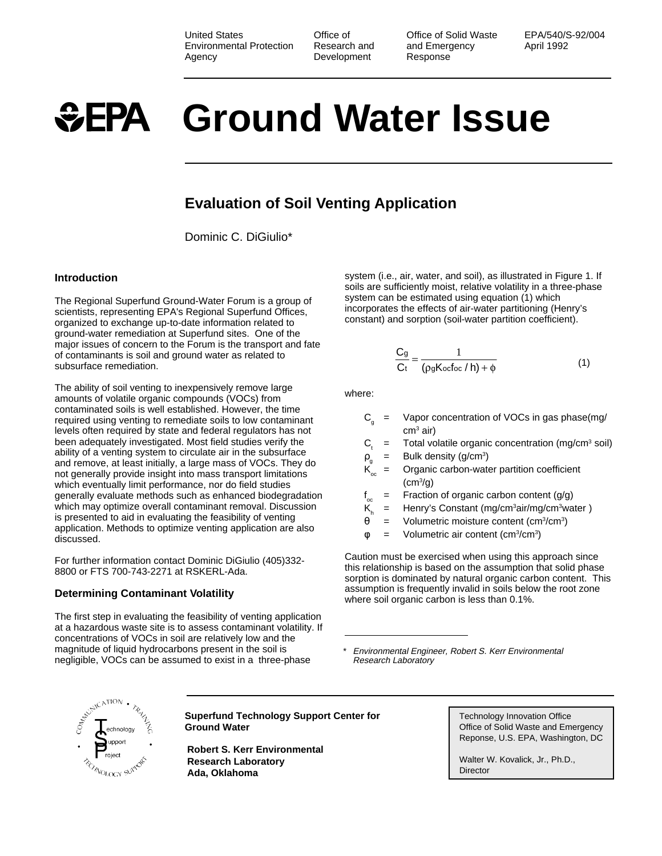United States Environmental Protection Agency

Office of Research and Development

Office of Solid Waste and Emergency Response

EPA/540/S-92/004 April 1992

# **Ground Water Issue**

# **Evaluation of Soil Venting Application**

Dominic C. DiGiulio\*

# **Introduction**

The Regional Superfund Ground-Water Forum is a group of scientists, representing EPA's Regional Superfund Offices, organized to exchange up-to-date information related to ground-water remediation at Superfund sites. One of the major issues of concern to the Forum is the transport and fate of contaminants is soil and ground water as related to subsurface remediation.

The ability of soil venting to inexpensively remove large amounts of volatile organic compounds (VOCs) from contaminated soils is well established. However, the time required using venting to remediate soils to low contaminant levels often required by state and federal regulators has not been adequately investigated. Most field studies verify the ability of a venting system to circulate air in the subsurface and remove, at least initially, a large mass of VOCs. They do not generally provide insight into mass transport limitations which eventually limit performance, nor do field studies generally evaluate methods such as enhanced biodegradation which may optimize overall contaminant removal. Discussion is presented to aid in evaluating the feasibility of venting application. Methods to optimize venting application are also discussed.

For further information contact Dominic DiGiulio (405)332- 8800 or FTS 700-743-2271 at RSKERL-Ada.

#### **Determining Contaminant Volatility**

The first step in evaluating the feasibility of venting application at a hazardous waste site is to assess contaminant volatility. If concentrations of VOCs in soil are relatively low and the magnitude of liquid hydrocarbons present in the soil is negligible, VOCs can be assumed to exist in a three-phase

system (i.e., air, water, and soil), as illustrated in Figure 1. If soils are sufficiently moist, relative volatility in a three-phase system can be estimated using equation (1) which incorporates the effects of air-water partitioning (Henry's constant) and sorption (soil-water partition coefficient).

$$
\frac{C_g}{C_t} = \frac{1}{(\rho g K_{\text{ocfoc}} / h) + \phi} \tag{1}
$$

where:

f

- Vapor concentration of VOCs in gas phase(mg/ cm3 air)
- $C<sub>i</sub>$  = Total volatile organic concentration (mg/cm<sup>3</sup> soil)
- $\rho_g$  = Bulk density (g/cm<sup>3</sup>)
- Organic carbon-water partition coefficient  $(cm<sup>3</sup>/g)$
- 
- $f_{\rm oc}$  = Fraction of organic carbon content (g/g)<br>K<sub>b</sub> = Henry's Constant (mg/cm<sup>3</sup>air/mg/cm<sup>3</sup>wa  $K_h$  = Henry's Constant (mg/cm<sup>3</sup>air/mg/cm<sup>3</sup>water)
- $\theta$  = Volumetric moisture content (cm<sup>3</sup>/cm<sup>3</sup>)
- $\phi$  = Volumetric air content (cm<sup>3</sup>/cm<sup>3</sup>)

Caution must be exercised when using this approach since this relationship is based on the assumption that solid phase sorption is dominated by natural organic carbon content. This assumption is frequently invalid in soils below the root zone where soil organic carbon is less than 0.1%.

Environmental Engineer, Robert S. Kerr Environmental Research Laboratory



**Superfund Technology Support Center for Ground Water**

**Robert S. Kerr Environmental Research Laboratory Ada, Oklahoma**

Technology Innovation Office Office of Solid Waste and Emergency Reponse, U.S. EPA, Washington, DC

Walter W. Kovalick, Jr., Ph.D., **Director**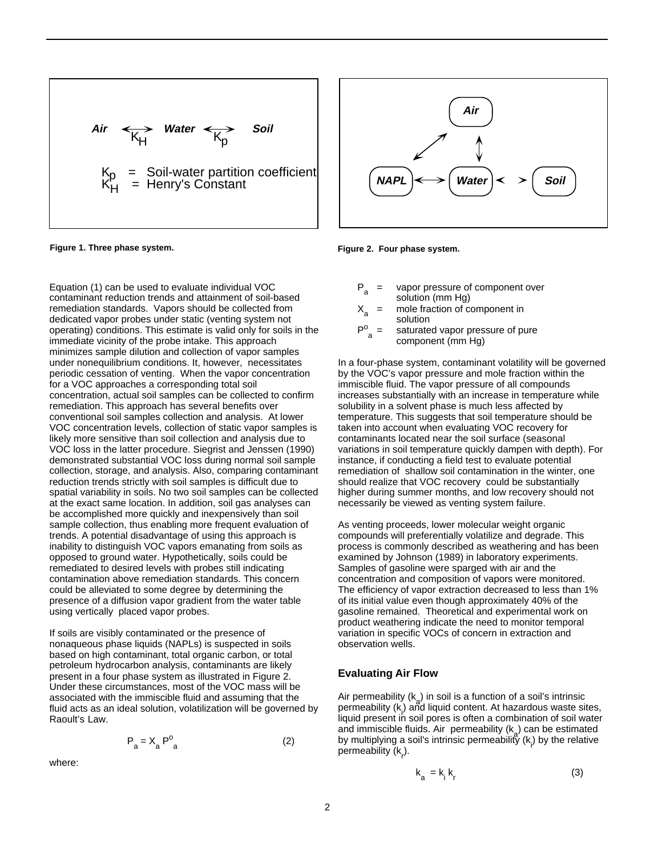Air

\n
$$
\begin{array}{|c|}\n\hline\n\text{Air} & \overline{\text{K}_{H}} \text{Water} & \overline{\text{K}_{p}} \text{Soil} \\
\hline\n\text{K}_{p} &= \text{Soil-water partition coefficient} \\
\text{K}_{H} &= \text{Henry's Constant}\n\end{array}
$$



**Figure 1. Three phase system. Figure 2. Four phase system.**

Equation (1) can be used to evaluate individual VOC contaminant reduction trends and attainment of soil-based remediation standards. Vapors should be collected from dedicated vapor probes under static (venting system not operating) conditions. This estimate is valid only for soils in the immediate vicinity of the probe intake. This approach minimizes sample dilution and collection of vapor samples under nonequilibrium conditions. It, however, necessitates periodic cessation of venting. When the vapor concentration for a VOC approaches a corresponding total soil concentration, actual soil samples can be collected to confirm remediation. This approach has several benefits over conventional soil samples collection and analysis. At lower VOC concentration levels, collection of static vapor samples is likely more sensitive than soil collection and analysis due to VOC loss in the latter procedure. Siegrist and Jenssen (1990) demonstrated substantial VOC loss during normal soil sample collection, storage, and analysis. Also, comparing contaminant reduction trends strictly with soil samples is difficult due to spatial variability in soils. No two soil samples can be collected at the exact same location. In addition, soil gas analyses can be accomplished more quickly and inexpensively than soil sample collection, thus enabling more frequent evaluation of trends. A potential disadvantage of using this approach is inability to distinguish VOC vapors emanating from soils as opposed to ground water. Hypothetically, soils could be remediated to desired levels with probes still indicating contamination above remediation standards. This concern could be alleviated to some degree by determining the presence of a diffusion vapor gradient from the water table using vertically placed vapor probes.

If soils are visibly contaminated or the presence of nonaqueous phase liquids (NAPLs) is suspected in soils based on high contaminant, total organic carbon, or total petroleum hydrocarbon analysis, contaminants are likely present in a four phase system as illustrated in Figure 2. Under these circumstances, most of the VOC mass will be associated with the immiscible fluid and assuming that the fluid acts as an ideal solution, volatilization will be governed by Raoult's Law.

$$
P_a = X_a P^o_a \tag{2}
$$

where:

- $P_a$  = vapor pressure of component over solution (mm Hg)
- $X_{\sim}$  = mole fraction of component in solution
- $P^{\circ}_{\quad \, \circ}$  = saturated vapor pressure of pure component (mm Hg)

In a four-phase system, contaminant volatility will be governed by the VOC's vapor pressure and mole fraction within the immiscible fluid. The vapor pressure of all compounds increases substantially with an increase in temperature while solubility in a solvent phase is much less affected by temperature. This suggests that soil temperature should be taken into account when evaluating VOC recovery for contaminants located near the soil surface (seasonal variations in soil temperature quickly dampen with depth). For instance, if conducting a field test to evaluate potential remediation of shallow soil contamination in the winter, one should realize that VOC recovery could be substantially higher during summer months, and low recovery should not necessarily be viewed as venting system failure.

As venting proceeds, lower molecular weight organic compounds will preferentially volatilize and degrade. This process is commonly described as weathering and has been examined by Johnson (1989) in laboratory experiments. Samples of gasoline were sparged with air and the concentration and composition of vapors were monitored. The efficiency of vapor extraction decreased to less than 1% of its initial value even though approximately 40% of the gasoline remained. Theoretical and experimental work on product weathering indicate the need to monitor temporal variation in specific VOCs of concern in extraction and observation wells.

#### **Evaluating Air Flow**

Air permeability  $(k_a)$  in soil is a function of a soil's intrinsic permeability (k<sub>i</sub>) and liquid content. At hazardous waste sites, liquid present in soil pores is often a combination of soil water and immiscible fluids. Air permeability  $(k_a)$  can be estimated by multiplying a soil's intrinsic permeability  $(k_1)$  by the relative permeability (k<sub>r</sub>).

$$
k_a = k_i k_r \tag{3}
$$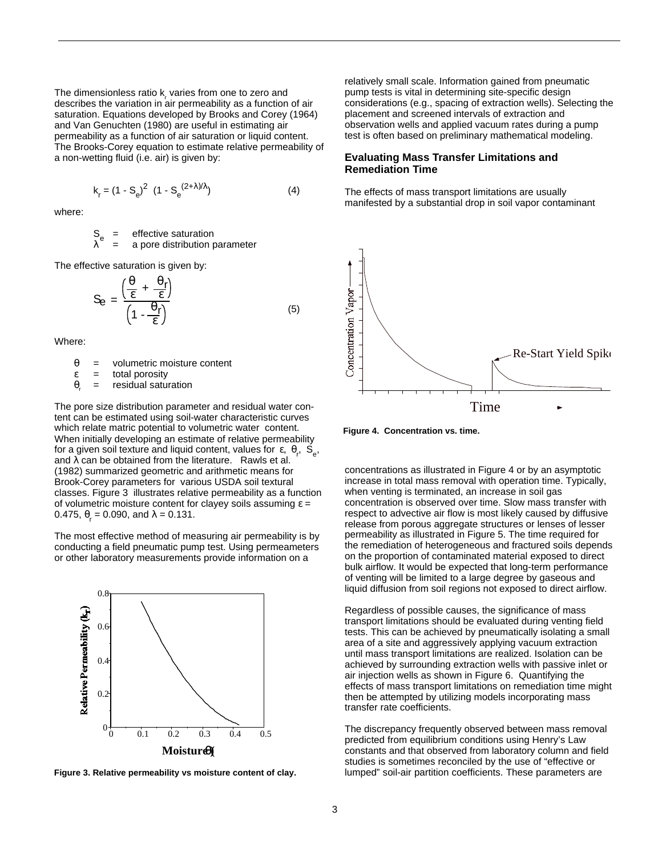The dimensionless ratio k<sub>r</sub> varies from one to zero and describes the variation in air permeability as a function of air saturation. Equations developed by Brooks and Corey (1964) and Van Genuchten (1980) are useful in estimating air permeability as a function of air saturation or liquid content. The Brooks-Corey equation to estimate relative permeability of a non-wetting fluid (i.e. air) is given by:

$$
k_{r} = (1 - S_{e})^{2} (1 - S_{e}^{(2 + \lambda)/\lambda})
$$
 (4)

where:

$$
S_e = \text{effective saturation} \n\lambda^e = \text{a pore distribution parameter}
$$

The effective saturation is given by: θ

$$
S_{\mathbf{\Theta}} = \frac{\left(\frac{\theta}{\varepsilon} + \frac{\theta_{\mathbf{f}}}{\varepsilon}\right)}{\left(1 - \frac{\theta_{\mathbf{f}}}{\varepsilon}\right)}
$$
(5)

Where:

 $\theta$  = volumetric moisture content

ε = total porosity

 $\theta$  = residual saturation

The pore size distribution parameter and residual water content can be estimated using soil-water characteristic curves which relate matric potential to volumetric water content. When initially developing an estimate of relative permeability for a given soil texture and liquid content, values for ε,  $θ_1$ ,  $S_2$ , and  $\lambda$  can be obtained from the literature. Rawls et al. (1982) summarized geometric and arithmetic means for Brook-Corey parameters for various USDA soil textural classes. Figure 3 illustrates relative permeability as a function of volumetric moisture content for clayey soils assuming  $\varepsilon =$ 0.475,  $θ<sub>r</sub> = 0.090$ , and  $λ = 0.131$ .

The most effective method of measuring air permeability is by conducting a field pneumatic pump test. Using permeameters or other laboratory measurements provide information on a



**Figure 3. Relative permeability vs moisture content of clay.**

relatively small scale. Information gained from pneumatic pump tests is vital in determining site-specific design considerations (e.g., spacing of extraction wells). Selecting the placement and screened intervals of extraction and observation wells and applied vacuum rates during a pump test is often based on preliminary mathematical modeling.

#### **Evaluating Mass Transfer Limitations and Remediation Time**

The effects of mass transport limitations are usually manifested by a substantial drop in soil vapor contaminant



**Figure 4. Concentration vs. time.**

concentrations as illustrated in Figure 4 or by an asymptotic increase in total mass removal with operation time. Typically, when venting is terminated, an increase in soil gas concentration is observed over time. Slow mass transfer with respect to advective air flow is most likely caused by diffusive release from porous aggregate structures or lenses of lesser permeability as illustrated in Figure 5. The time required for the remediation of heterogeneous and fractured soils depends on the proportion of contaminated material exposed to direct bulk airflow. It would be expected that long-term performance of venting will be limited to a large degree by gaseous and liquid diffusion from soil regions not exposed to direct airflow.

Regardless of possible causes, the significance of mass transport limitations should be evaluated during venting field tests. This can be achieved by pneumatically isolating a small area of a site and aggressively applying vacuum extraction until mass transport limitations are realized. Isolation can be achieved by surrounding extraction wells with passive inlet or air injection wells as shown in Figure 6. Quantifying the effects of mass transport limitations on remediation time might then be attempted by utilizing models incorporating mass transfer rate coefficients.

The discrepancy frequently observed between mass removal predicted from equilibrium conditions using Henry's Law constants and that observed from laboratory column and field studies is sometimes reconciled by the use of "effective or lumped" soil-air partition coefficients. These parameters are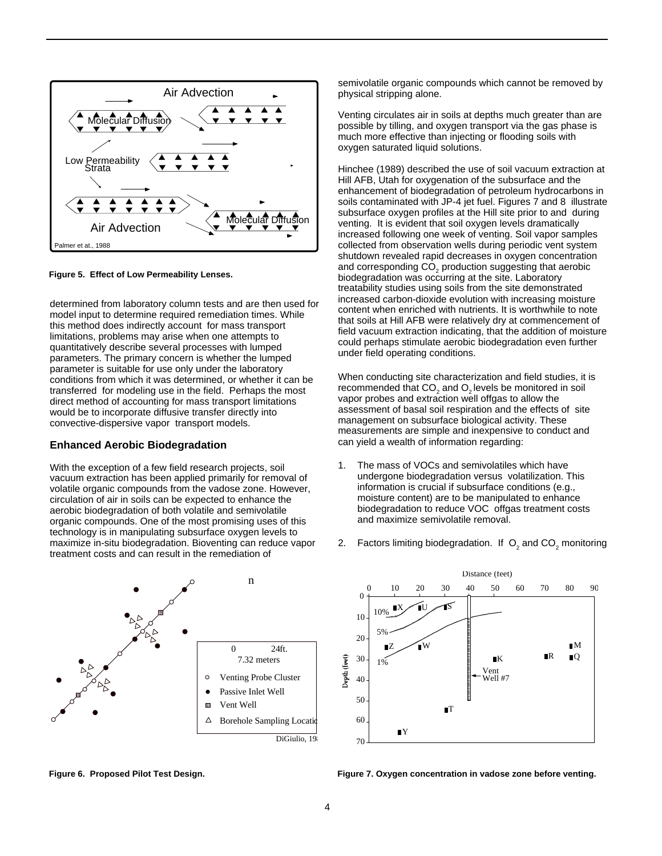

**Figure 5. Effect of Low Permeability Lenses.**

determined from laboratory column tests and are then used for model input to determine required remediation times. While this method does indirectly account for mass transport limitations, problems may arise when one attempts to quantitatively describe several processes with lumped parameters. The primary concern is whether the lumped parameter is suitable for use only under the laboratory conditions from which it was determined, or whether it can be transferred for modeling use in the field. Perhaps the most direct method of accounting for mass transport limitations would be to incorporate diffusive transfer directly into convective-dispersive vapor transport models.

#### **Enhanced Aerobic Biodegradation**

With the exception of a few field research projects, soil vacuum extraction has been applied primarily for removal of volatile organic compounds from the vadose zone. However, circulation of air in soils can be expected to enhance the aerobic biodegradation of both volatile and semivolatile organic compounds. One of the most promising uses of this technology is in manipulating subsurface oxygen levels to maximize in-situ biodegradation. Bioventing can reduce vapor treatment costs and can result in the remediation of



semivolatile organic compounds which cannot be removed by physical stripping alone.

Venting circulates air in soils at depths much greater than are possible by tilling, and oxygen transport via the gas phase is much more effective than injecting or flooding soils with oxygen saturated liquid solutions.

Hinchee (1989) described the use of soil vacuum extraction at Hill AFB, Utah for oxygenation of the subsurface and the enhancement of biodegradation of petroleum hydrocarbons in soils contaminated with JP-4 jet fuel. Figures 7 and 8 illustrate subsurface oxygen profiles at the Hill site prior to and during venting. It is evident that soil oxygen levels dramatically increased following one week of venting. Soil vapor samples collected from observation wells during periodic vent system shutdown revealed rapid decreases in oxygen concentration and corresponding CO<sub>2</sub> production suggesting that aerobic biodegradation was occurring at the site. Laboratory treatability studies using soils from the site demonstrated increased carbon-dioxide evolution with increasing moisture content when enriched with nutrients. It is worthwhile to note that soils at Hill AFB were relatively dry at commencement of field vacuum extraction indicating, that the addition of moisture could perhaps stimulate aerobic biodegradation even further under field operating conditions.

When conducting site characterization and field studies, it is recommended that  $CO_2$  and  $O_2$  levels be monitored in soil vapor probes and extraction well offgas to allow the assessment of basal soil respiration and the effects of site management on subsurface biological activity. These measurements are simple and inexpensive to conduct and can yield a wealth of information regarding:

- 1. The mass of VOCs and semivolatiles which have undergone biodegradation versus volatilization. This information is crucial if subsurface conditions (e.g., moisture content) are to be manipulated to enhance biodegradation to reduce VOC offgas treatment costs and maximize semivolatile removal.
- 2. Factors limiting biodegradation. If  $\overline{\mathrm{O}}_{2}$  and CO<sub>2</sub> monitoring



**Figure 6. Proposed Pilot Test Design. Figure 7. Oxygen concentration in vadose zone before venting.**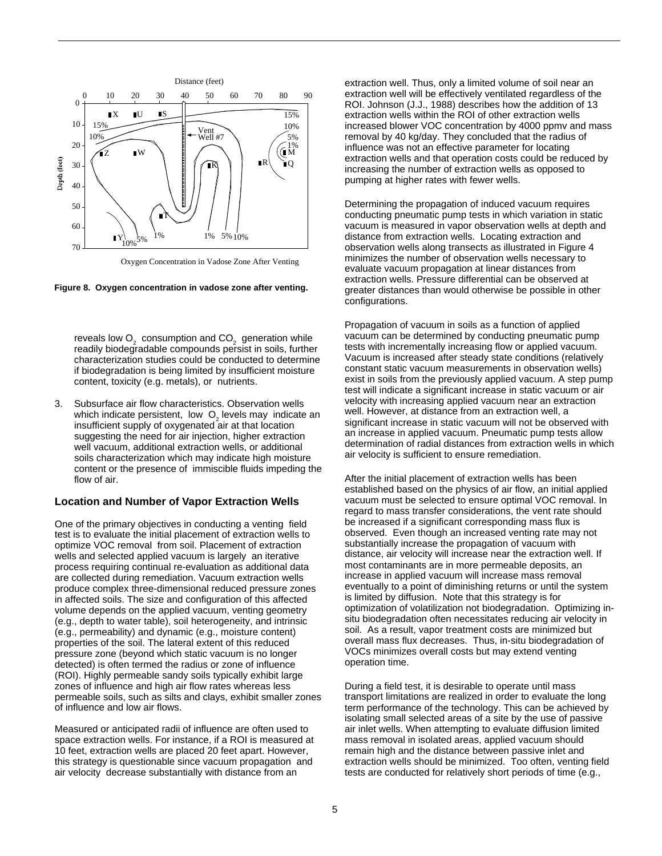

Oxygen Concentration in Vadose Zone After Venting



reveals low  $\mathsf{O}_2^{\vphantom{2}}$  consumption and  $\mathsf{CO}_2^{\vphantom{2}}$  generation while readily biodegradable compounds persist in soils, further characterization studies could be conducted to determine if biodegradation is being limited by insufficient moisture content, toxicity (e.g. metals), or nutrients.

3. Subsurface air flow characteristics. Observation wells which indicate persistent, low  $O_2$  levels may indicate an insufficient supply of oxygenated air at that location suggesting the need for air injection, higher extraction well vacuum, additional extraction wells, or additional soils characterization which may indicate high moisture content or the presence of immiscible fluids impeding the flow of air.

#### **Location and Number of Vapor Extraction Wells**

One of the primary objectives in conducting a venting field test is to evaluate the initial placement of extraction wells to optimize VOC removal from soil. Placement of extraction wells and selected applied vacuum is largely an iterative process requiring continual re-evaluation as additional data are collected during remediation. Vacuum extraction wells produce complex three-dimensional reduced pressure zones in affected soils. The size and configuration of this affected volume depends on the applied vacuum, venting geometry (e.g., depth to water table), soil heterogeneity, and intrinsic (e.g., permeability) and dynamic (e.g., moisture content) properties of the soil. The lateral extent of this reduced pressure zone (beyond which static vacuum is no longer detected) is often termed the radius or zone of influence (ROI). Highly permeable sandy soils typically exhibit large zones of influence and high air flow rates whereas less permeable soils, such as silts and clays, exhibit smaller zones of influence and low air flows.

Measured or anticipated radii of influence are often used to space extraction wells. For instance, if a ROI is measured at 10 feet, extraction wells are placed 20 feet apart. However, this strategy is questionable since vacuum propagation and air velocity decrease substantially with distance from an

extraction well. Thus, only a limited volume of soil near an extraction well will be effectively ventilated regardless of the ROI. Johnson (J.J., 1988) describes how the addition of 13 extraction wells within the ROI of other extraction wells increased blower VOC concentration by 4000 ppmv and mass removal by 40 kg/day. They concluded that the radius of influence was not an effective parameter for locating extraction wells and that operation costs could be reduced by increasing the number of extraction wells as opposed to pumping at higher rates with fewer wells.

Determining the propagation of induced vacuum requires conducting pneumatic pump tests in which variation in static vacuum is measured in vapor observation wells at depth and distance from extraction wells. Locating extraction and observation wells along transects as illustrated in Figure 4 minimizes the number of observation wells necessary to evaluate vacuum propagation at linear distances from extraction wells. Pressure differential can be observed at greater distances than would otherwise be possible in other configurations.

Propagation of vacuum in soils as a function of applied vacuum can be determined by conducting pneumatic pump tests with incrementally increasing flow or applied vacuum. Vacuum is increased after steady state conditions (relatively constant static vacuum measurements in observation wells) exist in soils from the previously applied vacuum. A step pump test will indicate a significant increase in static vacuum or air velocity with increasing applied vacuum near an extraction well. However, at distance from an extraction well, a significant increase in static vacuum will not be observed with an increase in applied vacuum. Pneumatic pump tests allow determination of radial distances from extraction wells in which air velocity is sufficient to ensure remediation.

After the initial placement of extraction wells has been established based on the physics of air flow, an initial applied vacuum must be selected to ensure optimal VOC removal. In regard to mass transfer considerations, the vent rate should be increased if a significant corresponding mass flux is observed. Even though an increased venting rate may not substantially increase the propagation of vacuum with distance, air velocity will increase near the extraction well. If most contaminants are in more permeable deposits, an increase in applied vacuum will increase mass removal eventually to a point of diminishing returns or until the system is limited by diffusion. Note that this strategy is for optimization of volatilization not biodegradation. Optimizing insitu biodegradation often necessitates reducing air velocity in soil. As a result, vapor treatment costs are minimized but overall mass flux decreases. Thus, in-situ biodegradation of VOCs minimizes overall costs but may extend venting operation time.

During a field test, it is desirable to operate until mass transport limitations are realized in order to evaluate the long term performance of the technology. This can be achieved by isolating small selected areas of a site by the use of passive air inlet wells. When attempting to evaluate diffusion limited mass removal in isolated areas, applied vacuum should remain high and the distance between passive inlet and extraction wells should be minimized. Too often, venting field tests are conducted for relatively short periods of time (e.g.,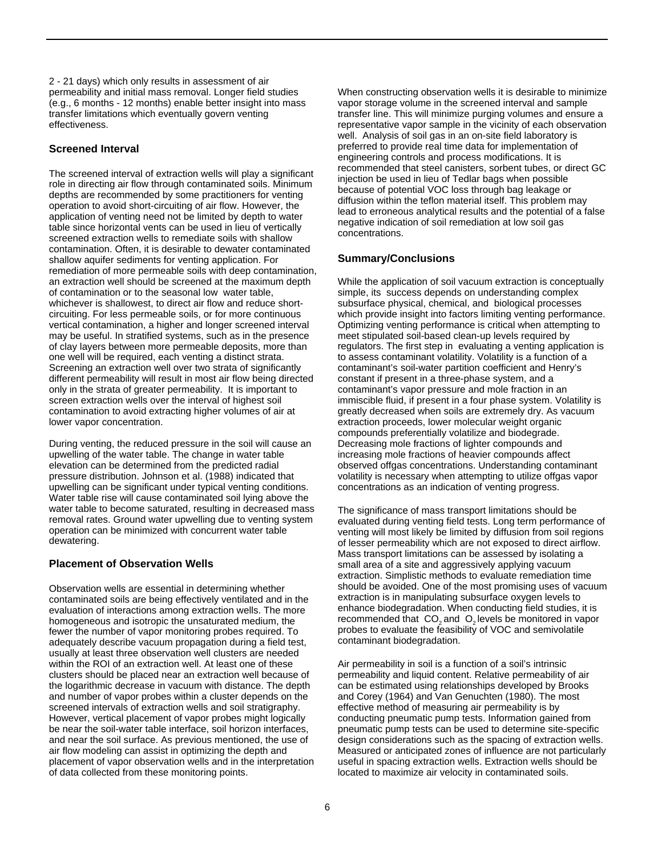2 - 21 days) which only results in assessment of air permeability and initial mass removal. Longer field studies (e.g., 6 months - 12 months) enable better insight into mass transfer limitations which eventually govern venting effectiveness.

# **Screened Interval**

The screened interval of extraction wells will play a significant role in directing air flow through contaminated soils. Minimum depths are recommended by some practitioners for venting operation to avoid short-circuiting of air flow. However, the application of venting need not be limited by depth to water table since horizontal vents can be used in lieu of vertically screened extraction wells to remediate soils with shallow contamination. Often, it is desirable to dewater contaminated shallow aquifer sediments for venting application. For remediation of more permeable soils with deep contamination, an extraction well should be screened at the maximum depth of contamination or to the seasonal low water table, whichever is shallowest, to direct air flow and reduce shortcircuiting. For less permeable soils, or for more continuous vertical contamination, a higher and longer screened interval may be useful. In stratified systems, such as in the presence of clay layers between more permeable deposits, more than one well will be required, each venting a distinct strata. Screening an extraction well over two strata of significantly different permeability will result in most air flow being directed only in the strata of greater permeability. It is important to screen extraction wells over the interval of highest soil contamination to avoid extracting higher volumes of air at lower vapor concentration.

During venting, the reduced pressure in the soil will cause an upwelling of the water table. The change in water table elevation can be determined from the predicted radial pressure distribution. Johnson et al. (1988) indicated that upwelling can be significant under typical venting conditions. Water table rise will cause contaminated soil lying above the water table to become saturated, resulting in decreased mass removal rates. Ground water upwelling due to venting system operation can be minimized with concurrent water table dewatering.

#### **Placement of Observation Wells**

Observation wells are essential in determining whether contaminated soils are being effectively ventilated and in the evaluation of interactions among extraction wells. The more homogeneous and isotropic the unsaturated medium, the fewer the number of vapor monitoring probes required. To adequately describe vacuum propagation during a field test, usually at least three observation well clusters are needed within the ROI of an extraction well. At least one of these clusters should be placed near an extraction well because of the logarithmic decrease in vacuum with distance. The depth and number of vapor probes within a cluster depends on the screened intervals of extraction wells and soil stratigraphy. However, vertical placement of vapor probes might logically be near the soil-water table interface, soil horizon interfaces, and near the soil surface. As previous mentioned, the use of air flow modeling can assist in optimizing the depth and placement of vapor observation wells and in the interpretation of data collected from these monitoring points.

When constructing observation wells it is desirable to minimize vapor storage volume in the screened interval and sample transfer line. This will minimize purging volumes and ensure a representative vapor sample in the vicinity of each observation well. Analysis of soil gas in an on-site field laboratory is preferred to provide real time data for implementation of engineering controls and process modifications. It is recommended that steel canisters, sorbent tubes, or direct GC injection be used in lieu of Tedlar bags when possible because of potential VOC loss through bag leakage or diffusion within the teflon material itself. This problem may lead to erroneous analytical results and the potential of a false negative indication of soil remediation at low soil gas concentrations.

# **Summary/Conclusions**

While the application of soil vacuum extraction is conceptually simple, its success depends on understanding complex subsurface physical, chemical, and biological processes which provide insight into factors limiting venting performance. Optimizing venting performance is critical when attempting to meet stipulated soil-based clean-up levels required by regulators. The first step in evaluating a venting application is to assess contaminant volatility. Volatility is a function of a contaminant's soil-water partition coefficient and Henry's constant if present in a three-phase system, and a contaminant's vapor pressure and mole fraction in an immiscible fluid, if present in a four phase system. Volatility is greatly decreased when soils are extremely dry. As vacuum extraction proceeds, lower molecular weight organic compounds preferentially volatilize and biodegrade. Decreasing mole fractions of lighter compounds and increasing mole fractions of heavier compounds affect observed offgas concentrations. Understanding contaminant volatility is necessary when attempting to utilize offgas vapor concentrations as an indication of venting progress.

The significance of mass transport limitations should be evaluated during venting field tests. Long term performance of venting will most likely be limited by diffusion from soil regions of lesser permeability which are not exposed to direct airflow. Mass transport limitations can be assessed by isolating a small area of a site and aggressively applying vacuum extraction. Simplistic methods to evaluate remediation time should be avoided. One of the most promising uses of vacuum extraction is in manipulating subsurface oxygen levels to enhance biodegradation. When conducting field studies, it is recommended that CO<sub>2</sub> and O<sub>2</sub> levels be monitored in vapor probes to evaluate the feasibility of VOC and semivolatile contaminant biodegradation.

Air permeability in soil is a function of a soil's intrinsic permeability and liquid content. Relative permeability of air can be estimated using relationships developed by Brooks and Corey (1964) and Van Genuchten (1980). The most effective method of measuring air permeability is by conducting pneumatic pump tests. Information gained from pneumatic pump tests can be used to determine site-specific design considerations such as the spacing of extraction wells. Measured or anticipated zones of influence are not particularly useful in spacing extraction wells. Extraction wells should be located to maximize air velocity in contaminated soils.